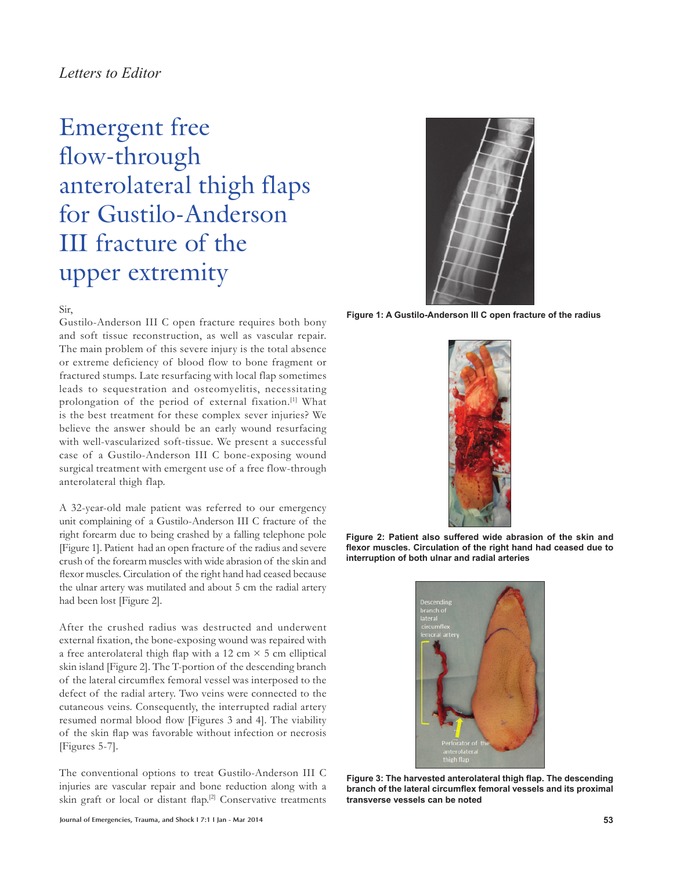## *Letters to Editor*

# Emergent free flow-through anterolateral thigh flaps for Gustilo-Anderson III fracture of the upper extremity

Sir,

Gustilo-Anderson III C open fracture requires both bony and soft tissue reconstruction, as well as vascular repair. The main problem of this severe injury is the total absence or extreme deficiency of blood flow to bone fragment or fractured stumps. Late resurfacing with local flap sometimes leads to sequestration and osteomyelitis, necessitating prolongation of the period of external fixation.[1] What is the best treatment for these complex sever injuries? We believe the answer should be an early wound resurfacing with well-vascularized soft-tissue. We present a successful case of a Gustilo-Anderson III C bone-exposing wound surgical treatment with emergent use of a free flow-through anterolateral thigh flap.

A 32-year-old male patient was referred to our emergency unit complaining of a Gustilo-Anderson III C fracture of the right forearm due to being crashed by a falling telephone pole [Figure 1]. Patient had an open fracture of the radius and severe crush of the forearm muscles with wide abrasion of the skin and flexor muscles. Circulation of the right hand had ceased because the ulnar artery was mutilated and about 5 cm the radial artery had been lost [Figure 2].

After the crushed radius was destructed and underwent external fixation, the bone-exposing wound was repaired with a free anterolateral thigh flap with a 12 cm  $\times$  5 cm elliptical skin island [Figure 2]. The T-portion of the descending branch of the lateral circumflex femoral vessel was interposed to the defect of the radial artery. Two veins were connected to the cutaneous veins. Consequently, the interrupted radial artery resumed normal blood flow [Figures 3 and 4]. The viability of the skin flap was favorable without infection or necrosis [Figures 5-7].

The conventional options to treat Gustilo-Anderson III C injuries are vascular repair and bone reduction along with a skin graft or local or distant flap.<sup>[2]</sup> Conservative treatments



**Figure 1: A Gustilo-Anderson III C open fracture of the radius**



**Figure 2: Patient also suffered wide abrasion of the skin and**  flexor muscles. Circulation of the right hand had ceased due to **interruption of both ulnar and radial arteries**



Figure 3: The harvested anterolateral thigh flap. The descending branch of the lateral circumflex femoral vessels and its proximal **transverse vessels can be noted**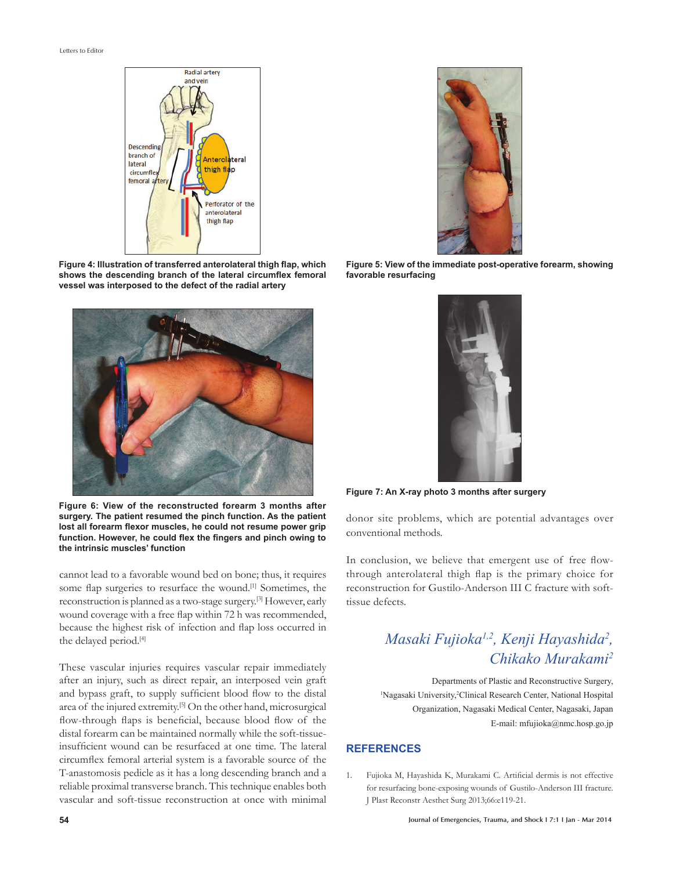Letters to Editor



Figure 4: Illustration of transferred anterolateral thigh flap, which shows the descending branch of the lateral circumflex femoral **vessel was interposed to the defect of the radial artery**



**Figure 6: View of the reconstructed forearm 3 months after surgery. The patient resumed the pinch function. As the patient**  lost all forearm flexor muscles, he could not resume power grip function. However, he could flex the fingers and pinch owing to **the intrinsic muscles' function**

cannot lead to a favorable wound bed on bone; thus, it requires some flap surgeries to resurface the wound.<sup>[1]</sup> Sometimes, the reconstruction is planned as a two-stage surgery.[3] However, early wound coverage with a free flap within 72 h was recommended, because the highest risk of infection and flap loss occurred in the delayed period.<sup>[4]</sup>

These vascular injuries requires vascular repair immediately after an injury, such as direct repair, an interposed vein graft and bypass graft, to supply sufficient blood flow to the distal area of the injured extremity.[5] On the other hand, microsurgical flow-through flaps is beneficial, because blood flow of the distal forearm can be maintained normally while the soft-tissueinsufficient wound can be resurfaced at one time. The lateral circumflex femoral arterial system is a favorable source of the T-anastomosis pedicle as it has a long descending branch and a reliable proximal transverse branch. This technique enables both vascular and soft-tissue reconstruction at once with minimal



**Figure 5: View of the immediate post-operative forearm, showing favorable resurfacing**



**Figure 7: An X-ray photo 3 months after surgery**

donor site problems, which are potential advantages over conventional methods.

In conclusion, we believe that emergent use of free flowthrough anterolateral thigh flap is the primary choice for reconstruction for Gustilo-Anderson III C fracture with softtissue defects.

## *Masaki Fujioka1,2, Kenji Hayashida2 , Chikako Murakami2*

Departments of Plastic and Reconstructive Surgery, <sup>1</sup>Nagasaki University,<sup>2</sup>Clinical Research Center, National Hospital Organization, Nagasaki Medical Center, Nagasaki, Japan E-mail: mfujioka@nmc.hosp.go.jp

### **REFERENCES**

1. Fujioka M, Hayashida K, Murakami C. Artificial dermis is not effective for resurfacing bone-exposing wounds of Gustilo-Anderson III fracture. J Plast Reconstr Aesthet Surg 2013;66:e119-21.